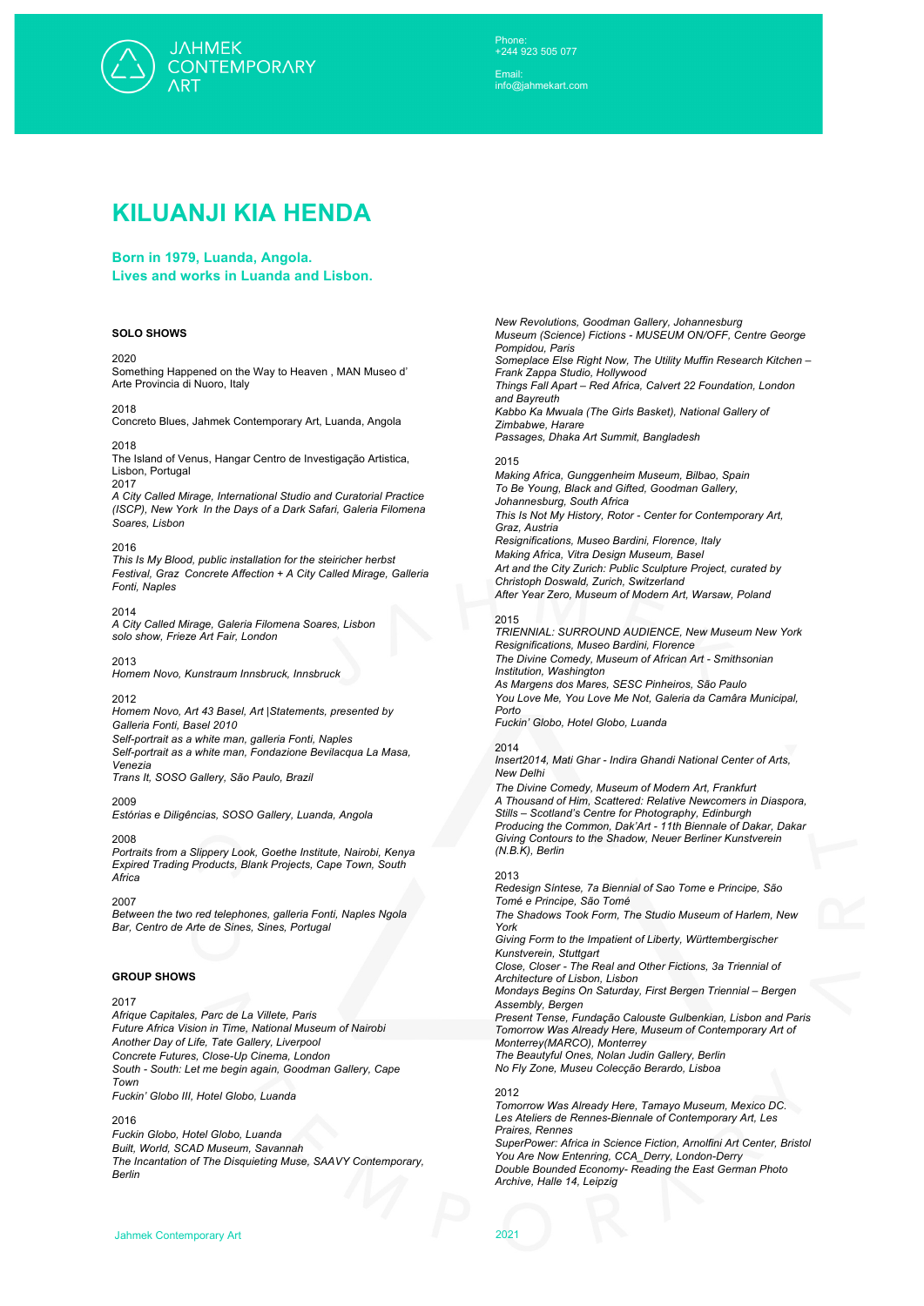

Phone: +244 923 505 077

Email: info@jahmekart.com

# **KILUANJI KIA HENDA**

**Born in 1979, Luanda, Angola. Lives and works in Luanda and Lisbon.**

## **SOLO SHOWS**

#### 2020

Something Happened on the Way to Heaven , MAN Museo d' Arte Provincia di Nuoro, Italy

#### 2018

Concreto Blues, Jahmek Contemporary Art, Luanda, Angola

# 2018

The Island of Venus, Hangar Centro de Investigação Artistica, Lisbon, Portugal

# 2017

*A City Called Mirage, International Studio and Curatorial Practice (ISCP), New York In the Days of a Dark Safari, Galeria Filomena Soares, Lisbon* 

#### 2016

*This Is My Blood, public installation for the steiricher herbst Festival, Graz Concrete Affection + A City Called Mirage, Galleria Fonti, Naples* 

#### 2014

*A City Called Mirage, Galeria Filomena Soares, Lisbon solo show, Frieze Art Fair, London* 

#### 2013

*Homem Novo, Kunstraum Innsbruck, Innsbruck* 

## 2012

*Homem Novo, Art 43 Basel, Art |Statements, presented by Galleria Fonti, Basel 2010 Self-portrait as a white man, galleria Fonti, Naples Self-portrait as a white man, Fondazione Bevilacqua La Masa, Venezia* 

*Trans It, SOSO Gallery, São Paulo, Brazil* 

## 2009

*Estórias e Diligências, SOSO Gallery, Luanda, Angola* 

#### 2008

*Portraits from a Slippery Look, Goethe Institute, Nairobi, Kenya Expired Trading Products, Blank Projects, Cape Town, South Africa* 

#### 2007

*Between the two red telephones, galleria Fonti, Naples Ngola Bar, Centro de Arte de Sines, Sines, Portugal* 

#### **GROUP SHOWS**

## 2017

*Afrique Capitales, Parc de La Villete, Paris Future Africa Vision in Time, National Museum of Nairobi Another Day of Life, Tate Gallery, Liverpool Concrete Futures, Close-Up Cinema, London South - South: Let me begin again, Goodman Gallery, Cape Town Fuckin' Globo III, Hotel Globo, Luanda* 

#### 2016

*Fuckin Globo, Hotel Globo, Luanda*

*Built, World, SCAD Museum, Savannah*

*The Incantation of The Disquieting Muse, SAAVY Contemporary, Berlin*

*New Revolutions, Goodman Gallery, Johannesburg Museum (Science) Fictions - MUSEUM ON/OFF, Centre George Pompidou, Paris Someplace Else Right Now, The Utility Muffin Research Kitchen – Frank Zappa Studio, Hollywood Things Fall Apart – Red Africa, Calvert 22 Foundation, London and Bayreuth Kabbo Ka Mwuala (The Girls Basket), National Gallery of Zimbabwe, Harare Passages, Dhaka Art Summit, Bangladesh* 

# 2015

*Making Africa, Gunggenheim Museum, Bilbao, Spain To Be Young, Black and Gifted, Goodman Gallery, Johannesburg, South Africa This Is Not My History, Rotor - Center for Contemporary Art, Graz, Austria Resignifications, Museo Bardini, Florence, Italy Making Africa, Vitra Design Museum, Basel Art and the City Zurich: Public Sculpture Project, curated by Christoph Doswald, Zurich, Switzerland After Year Zero, Museum of Modern Art, Warsaw, Poland* 

## 2015

*TRIENNIAL: SURROUND AUDIENCE, New Museum New York Resignifications, Museo Bardini, Florence The Divine Comedy, Museum of African Art - Smithsonian Institution, Washington As Margens dos Mares, SESC Pinheiros, São Paulo You Love Me, You Love Me Not, Galeria da Camâra Municipal, Porto*

*Fuckin' Globo, Hotel Globo, Luanda*

#### 2014

*Insert2014, Mati Ghar - Indira Ghandi National Center of Arts, New Delhi*

*The Divine Comedy, Museum of Modern Art, Frankfurt A Thousand of Him, Scattered: Relative Newcomers in Diaspora, Stills – Scotland's Centre for Photography, Edinburgh Producing the Common, Dak'Art - 11th Biennale of Dakar, Dakar Giving Contours to the Shadow, Neuer Berliner Kunstverein (N.B.K), Berlin* 

## 2013

*Redesign Síntese, 7a Biennial of Sao Tome e Principe, São Tomé e Principe, São Tomé The Shadows Took Form, The Studio Museum of Harlem, New York* 

*Giving Form to the Impatient of Liberty, Württembergischer Kunstverein, Stuttgart*

*Close, Closer - The Real and Other Fictions, 3a Triennial of Architecture of Lisbon, Lisbon* 

*Mondays Begins On Saturday, First Bergen Triennial – Bergen Assembly, Bergen*

*Present Tense, Fundação Calouste Gulbenkian, Lisbon and Paris Tomorrow Was Already Here, Museum of Contemporary Art of Monterrey(MARCO), Monterrey The Beautyful Ones, Nolan Judin Gallery, Berlin* 

*No Fly Zone, Museu Colecção Berardo, Lisboa* 

# 2012

*Tomorrow Was Already Here, Tamayo Museum, Mexico DC. Les Ateliers de Rennes-Biennale of Contemporary Art, Les Praires, Rennes* 

*SuperPower: Africa in Science Fiction, Arnolfini Art Center, Bristol You Are Now Entenring, CCA\_Derry, London-Derry Double Bounded Economy- Reading the East German Photo Archive, Halle 14, Leipzig*